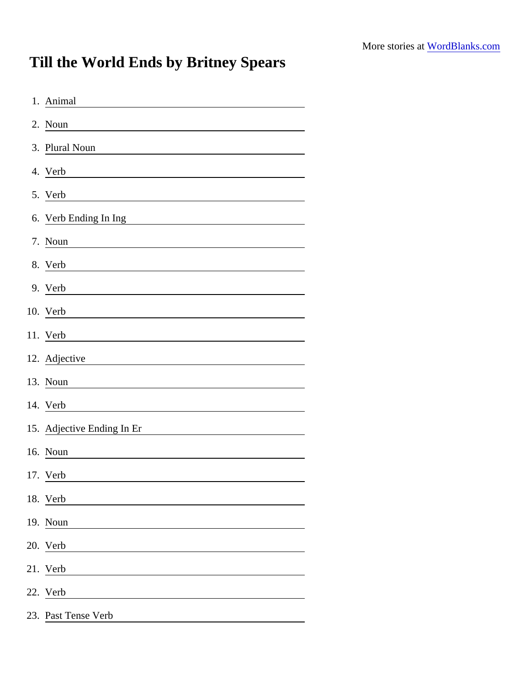## Till the World Ends by Britney Spears

| 1. Animal                                                                                                                                          |
|----------------------------------------------------------------------------------------------------------------------------------------------------|
| 2. Noun                                                                                                                                            |
| 3. Plural Noun                                                                                                                                     |
| 4. Verb                                                                                                                                            |
| 5. Verb                                                                                                                                            |
| 6. Verb Ending In Ing<br><u> 1980 - Andrea Andrew Maria (h. 1980).</u>                                                                             |
| 7. Noun                                                                                                                                            |
| 8. Verb                                                                                                                                            |
| 9. Verb                                                                                                                                            |
| 10. Verb                                                                                                                                           |
| 11. Verb                                                                                                                                           |
| 12. Adjective                                                                                                                                      |
| 13. Noun                                                                                                                                           |
| 14. Verb<br><u> 1989 - Jan Sterlinger, fransk politiker (</u>                                                                                      |
| 15. Adjective Ending In Er<br><u> 1980 - Jan Stein Stein Stein Stein Stein Stein Stein Stein Stein Stein Stein Stein Stein Stein Stein Stein S</u> |
| 16. Noun                                                                                                                                           |
| 17. Verb                                                                                                                                           |
| 18. Verb                                                                                                                                           |
| 19. Noun                                                                                                                                           |
| 20. Verb                                                                                                                                           |
| 21. Verb                                                                                                                                           |
| 22. Verb                                                                                                                                           |
| 23. Past Tense Verb                                                                                                                                |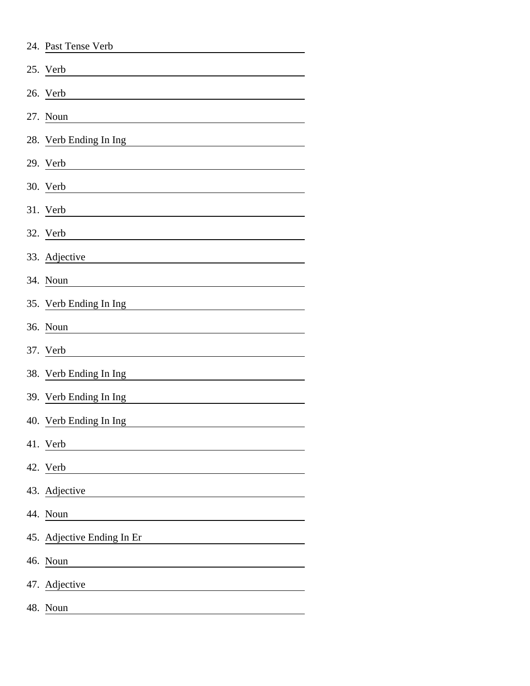| 24. Past Tense Verb        |
|----------------------------|
| 25. Verb                   |
| 26. Verb                   |
| 27. Noun                   |
| 28. Verb Ending In Ing     |
| 29. Verb                   |
| 30. Verb                   |
| 31. Verb                   |
| 32. Verb                   |
| 33. Adjective              |
| 34. Noun                   |
| 35. Verb Ending In Ing     |
| 36. Noun                   |
| 37. Verb                   |
| 38. Verb Ending In Ing     |
| 39. Verb Ending In Ing     |
| 40. Verb Ending In Ing     |
| 41. Verb                   |
| 42. Verb                   |
| 43. Adjective              |
| 44. Noun                   |
| 45. Adjective Ending In Er |
| 46. Noun                   |
| 47. Adjective              |
| 48. Noun                   |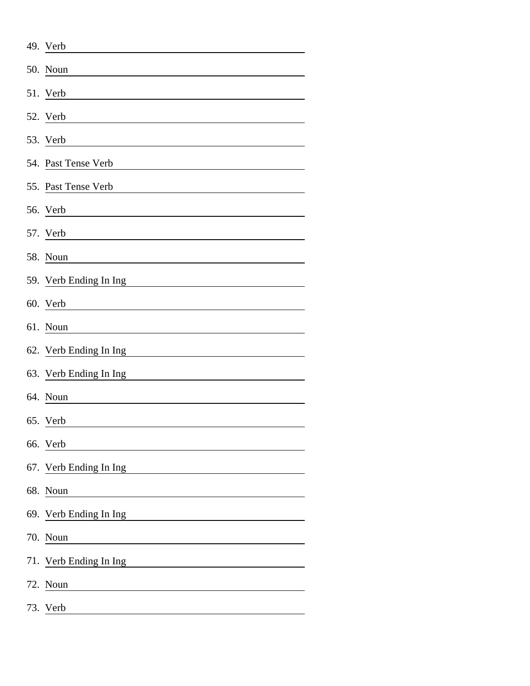| 49. Verb               |
|------------------------|
| 50. Noun               |
| 51. Verb               |
| 52. Verb               |
| 53. Verb               |
| 54. Past Tense Verb    |
| 55. Past Tense Verb    |
| 56. Verb               |
| 57. Verb               |
| 58. Noun               |
| 59. Verb Ending In Ing |
| 60. Verb               |
| 61. Noun               |
| 62. Verb Ending In Ing |
| 63. Verb Ending In Ing |
| 64. Noun               |
| 65. Verb               |
| 66. Verb               |
| 67. Verb Ending In Ing |
| 68. Noun               |
| 69. Verb Ending In Ing |
| 70. Noun               |
| 71. Verb Ending In Ing |
| 72. Noun               |
| 73. Verb               |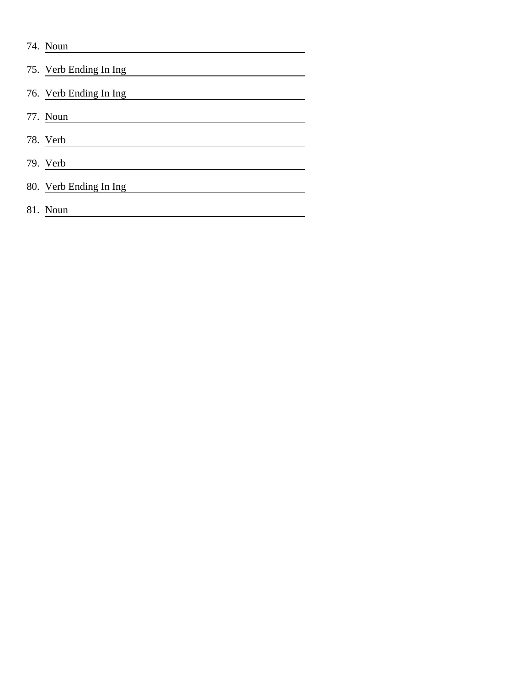| 74. Noun               |
|------------------------|
| 75. Verb Ending In Ing |
| 76. Verb Ending In Ing |
| 77. Noun               |
| 78. Verb               |
| 79. Verb               |
| 80. Verb Ending In Ing |
| 81. Noun               |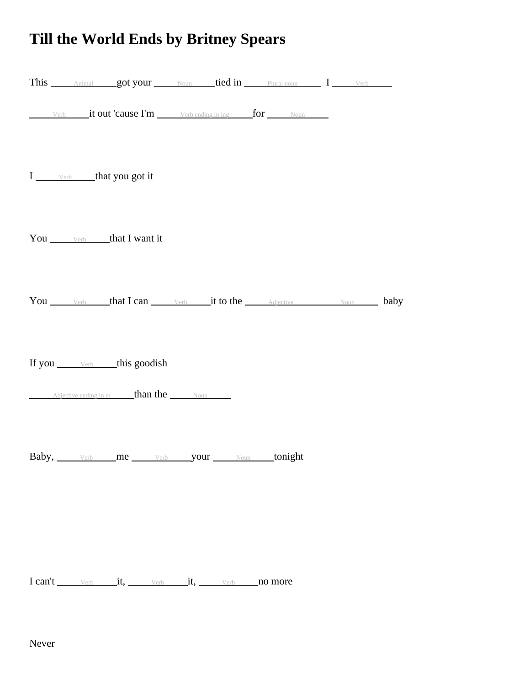## **Till the World Ends by Britney Spears**

|  | This Animal got your Noun tied in Plural noun I Verb              |  |  |  |
|--|-------------------------------------------------------------------|--|--|--|
|  | Verb <b>it out 'cause I'm</b> Verb ending in ing for Noun         |  |  |  |
|  | I verb that you got it                                            |  |  |  |
|  | You <b>Verb</b> that I want it                                    |  |  |  |
|  | You Verb that I can Verb it to the Adjective Noun baby            |  |  |  |
|  |                                                                   |  |  |  |
|  | Adjective ending in er <b>than the</b> Noun                       |  |  |  |
|  | <b>Baby</b> , <b>verb me verb your <u>Noun <b>tonight</b></u></b> |  |  |  |
|  |                                                                   |  |  |  |
|  |                                                                   |  |  |  |

I can't verb it, verb it, verb no more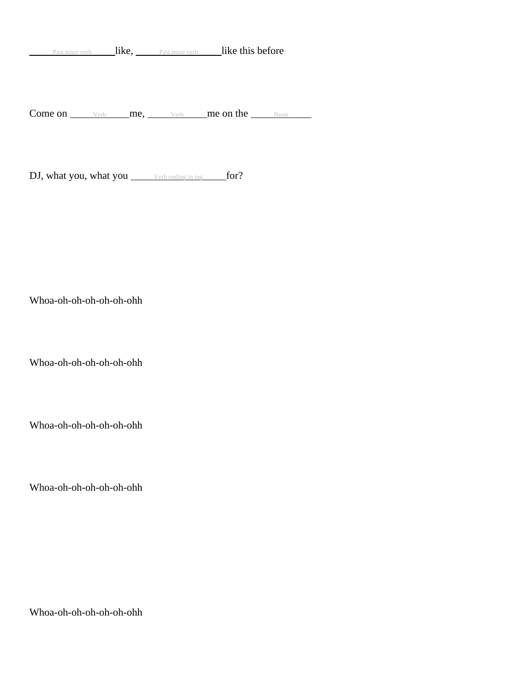Past tense verb like, Past tense verb like this before

Come on  $\frac{\vee_{\text{erb}}}{\vee_{\text{erb}}}$  me,  $\frac{\vee_{\text{erb}}}{\vee_{\text{erb}}}$  me on the Noun

DJ, what you, what you verb ending in ing for?

Whoa-oh-oh-oh-oh-oh-ohh

Whoa-oh-oh-oh-oh-oh-ohh

Whoa-oh-oh-oh-oh-oh-ohh

Whoa-oh-oh-oh-oh-oh-ohh

Whoa-oh-oh-oh-oh-oh-ohh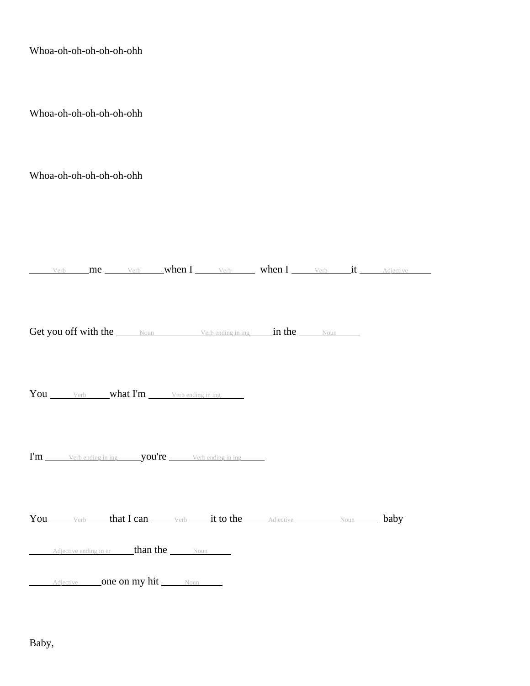| Whoa-oh-oh-oh-oh-oh-ohh                                                                                                |  |
|------------------------------------------------------------------------------------------------------------------------|--|
| Whoa-oh-oh-oh-oh-oh-ohh                                                                                                |  |
| Whoa-oh-oh-oh-oh-oh-ohh                                                                                                |  |
| Verb me Verb when I Verb when I Verb it Adjective                                                                      |  |
| Get you off with the Noun Verbending in ing in the Noun                                                                |  |
| You Verb what I'm Verb ending in ing                                                                                   |  |
|                                                                                                                        |  |
| You Verb that I can Verb it to the Adjective Noun baby<br>Adjective ending in er <b>than the</b> Noun<br>$\frac{1}{2}$ |  |
| Adjective one on my hit Noun                                                                                           |  |

Baby,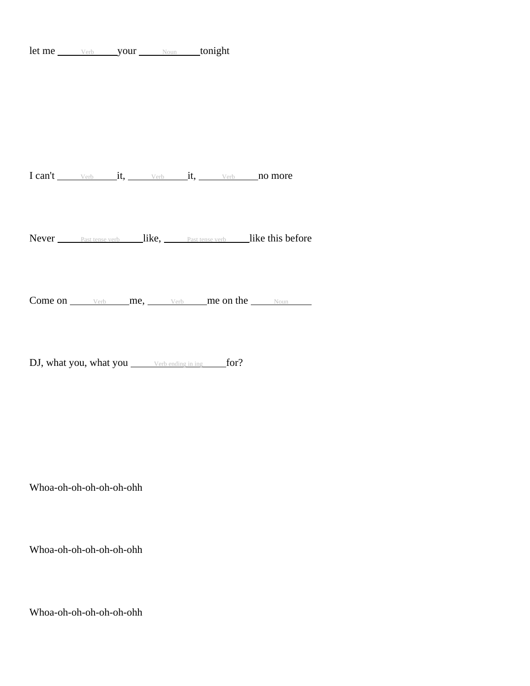let me verb your Noun tonight

I can't verb it, verb it, verb no more

Never Past tense verb like, Past tense verb like this before

Come on  $\frac{\vee_{\text{erb}}}{\vee_{\text{erb}}}$  me,  $\frac{\vee_{\text{erb}}}{\vee_{\text{erb}}}$  me on the  $\frac{\vee_{\text{sum}}}{\vee_{\text{sum}}}$ 

DJ, what you, what you verb ending in ing for?

Whoa-oh-oh-oh-oh-oh-ohh

Whoa-oh-oh-oh-oh-oh-ohh

Whoa-oh-oh-oh-oh-oh-ohh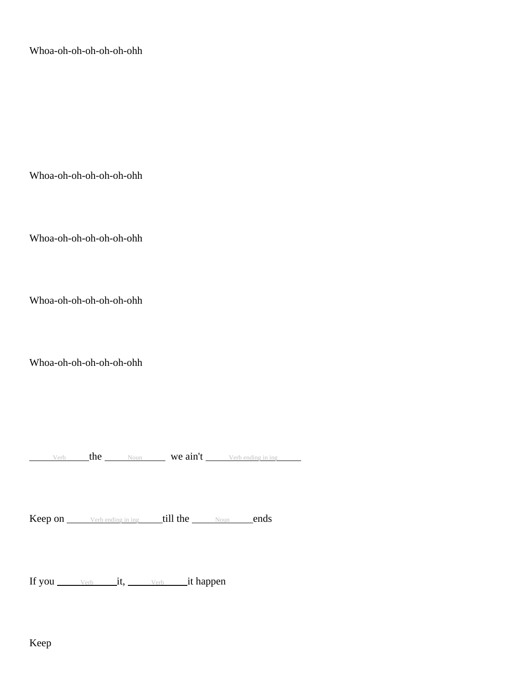Whoa-oh-oh-oh-oh-oh-ohh

Whoa-oh-oh-oh-oh-oh-ohh

Whoa-oh-oh-oh-oh-oh-ohh

Whoa-oh-oh-oh-oh-oh-ohh

Whoa-oh-oh-oh-oh-oh-ohh

 $V$ erb the Noun **we ain't** Verb ending in ing

Keep on Verb ending in ing till the Noun ends

If you  $V_{\text{erb}}$  it,  $V_{\text{erb}}$  it happen

Keep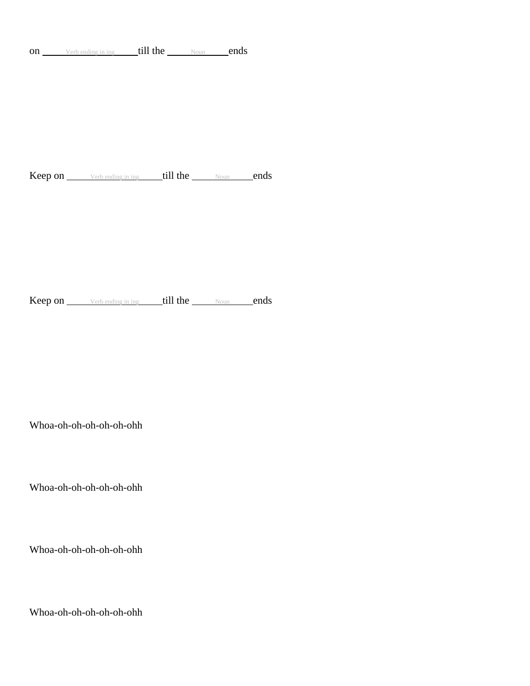on Verb ending in ing till the Noun ends

Keep on Verb ending in ing till the Noun ends

Keep on Verb ending in ing till the Noun ends

Whoa-oh-oh-oh-oh-oh-ohh

Whoa-oh-oh-oh-oh-oh-ohh

Whoa-oh-oh-oh-oh-oh-ohh

Whoa-oh-oh-oh-oh-oh-ohh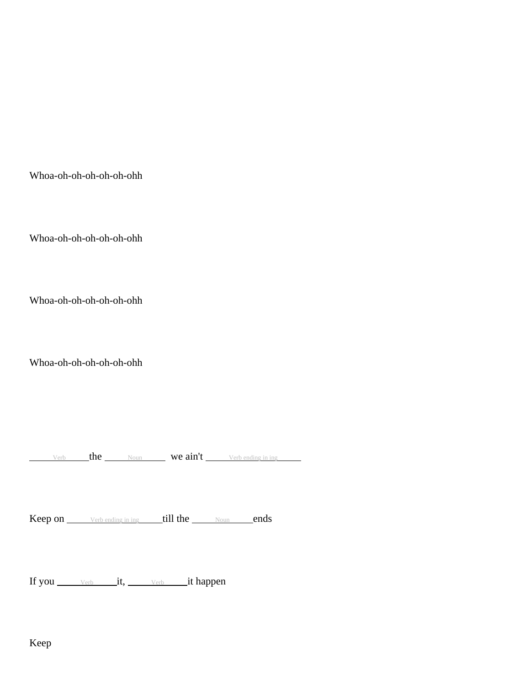Whoa-oh-oh-oh-oh-oh-ohh

Whoa-oh-oh-oh-oh-oh-ohh

Whoa-oh-oh-oh-oh-oh-ohh

Whoa-oh-oh-oh-oh-oh-ohh

Verb the Noun **we ain't** Verb ending in ing

Keep on Verb ending in ing till the Noun ends

If you verb it, verb it happen

Keep